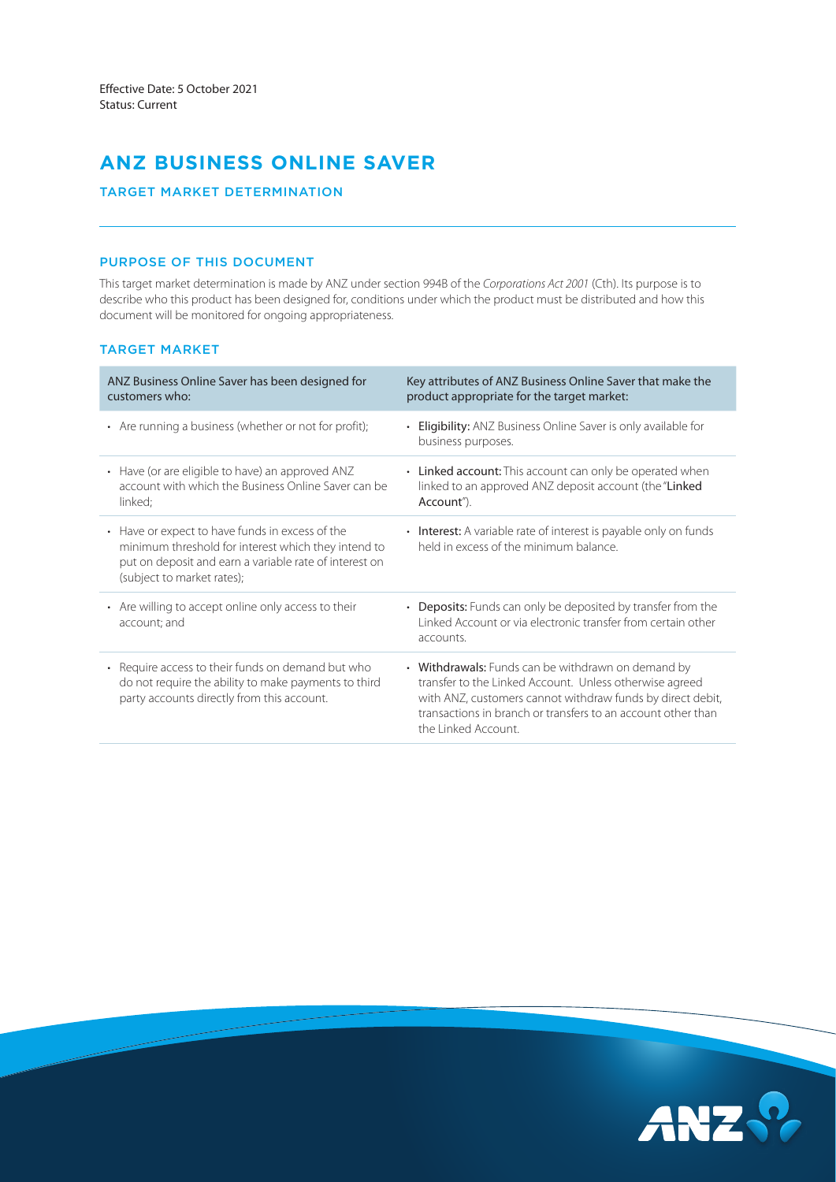# **ANZ BUSINESS ONLINE SAVER**

## TARGET MARKET DETERMINATION

# PURPOSE OF THIS DOCUMENT

This target market determination is made by ANZ under section 994B of the *Corporations Act 2001* (Cth). Its purpose is to describe who this product has been designed for, conditions under which the product must be distributed and how this document will be monitored for ongoing appropriateness.

## TARGET MARKET

| ANZ Business Online Saver has been designed for<br>customers who:                                                                                                                              | Key attributes of ANZ Business Online Saver that make the<br>product appropriate for the target market:                                                                                                                                                            |
|------------------------------------------------------------------------------------------------------------------------------------------------------------------------------------------------|--------------------------------------------------------------------------------------------------------------------------------------------------------------------------------------------------------------------------------------------------------------------|
| • Are running a business (whether or not for profit);                                                                                                                                          | • Eligibility: ANZ Business Online Saver is only available for<br>business purposes.                                                                                                                                                                               |
| • Have (or are eligible to have) an approved ANZ<br>account with which the Business Online Saver can be<br>linked;                                                                             | • Linked account: This account can only be operated when<br>linked to an approved ANZ deposit account (the "Linked<br>Account").                                                                                                                                   |
| • Have or expect to have funds in excess of the<br>minimum threshold for interest which they intend to<br>put on deposit and earn a variable rate of interest on<br>(subject to market rates); | • Interest: A variable rate of interest is payable only on funds<br>held in excess of the minimum balance.                                                                                                                                                         |
| • Are willing to accept online only access to their<br>account; and                                                                                                                            | • Deposits: Funds can only be deposited by transfer from the<br>Linked Account or via electronic transfer from certain other<br>accounts.                                                                                                                          |
| • Require access to their funds on demand but who<br>do not require the ability to make payments to third<br>party accounts directly from this account.                                        | • Withdrawals: Funds can be withdrawn on demand by<br>transfer to the Linked Account. Unless otherwise agreed<br>with ANZ, customers cannot withdraw funds by direct debit,<br>transactions in branch or transfers to an account other than<br>the Linked Account. |

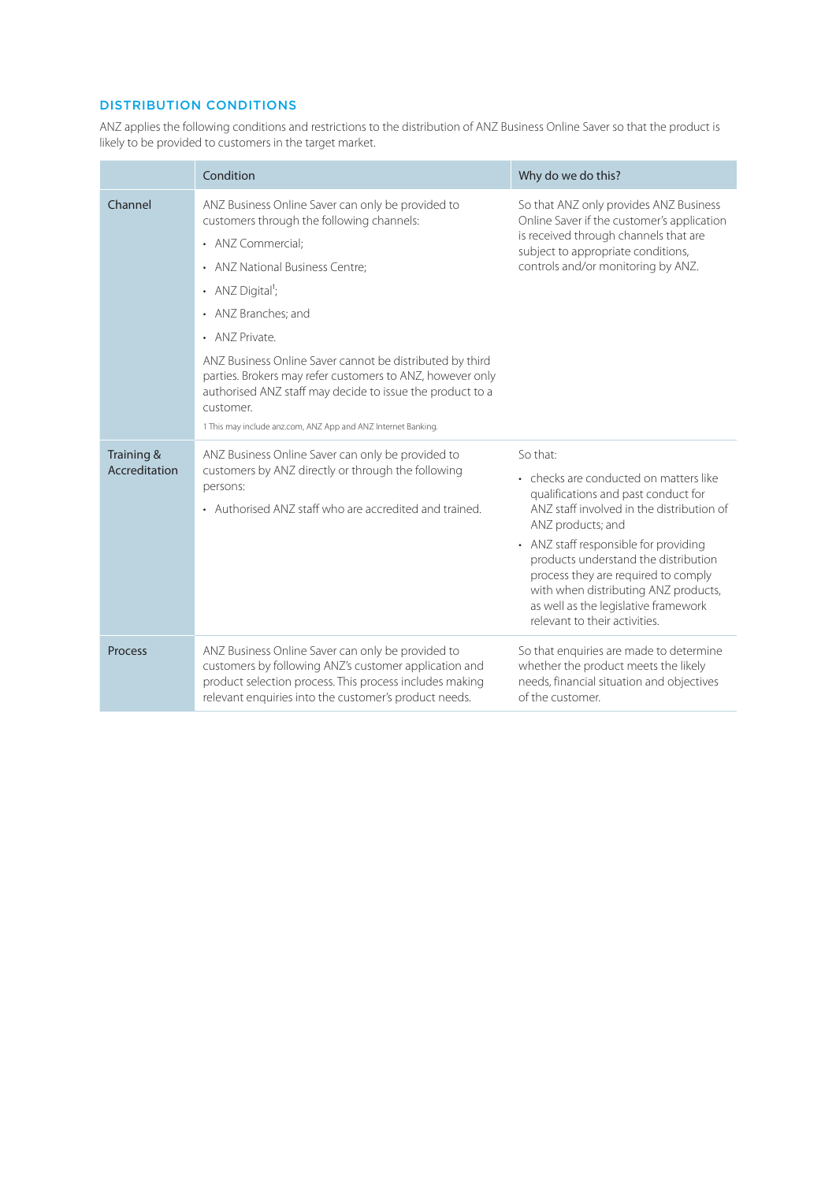# DISTRIBUTION CONDITIONS

ANZ applies the following conditions and restrictions to the distribution of ANZ Business Online Saver so that the product is likely to be provided to customers in the target market.

|                             | Condition                                                                                                                                                                                                                                                                                                                                                                                                                                                                                           | Why do we do this?                                                                                                                                                                                                                                                                                                                                                                                   |
|-----------------------------|-----------------------------------------------------------------------------------------------------------------------------------------------------------------------------------------------------------------------------------------------------------------------------------------------------------------------------------------------------------------------------------------------------------------------------------------------------------------------------------------------------|------------------------------------------------------------------------------------------------------------------------------------------------------------------------------------------------------------------------------------------------------------------------------------------------------------------------------------------------------------------------------------------------------|
| Channel                     | ANZ Business Online Saver can only be provided to<br>customers through the following channels:<br>• ANZ Commercial;<br>• ANZ National Business Centre;<br>• ANZ Digital <sup>1</sup> ;<br>• ANZ Branches: and<br>• ANZ Private.<br>ANZ Business Online Saver cannot be distributed by third<br>parties. Brokers may refer customers to ANZ, however only<br>authorised ANZ staff may decide to issue the product to a<br>customer.<br>1 This may include anz.com, ANZ App and ANZ Internet Banking. | So that ANZ only provides ANZ Business<br>Online Saver if the customer's application<br>is received through channels that are<br>subject to appropriate conditions,<br>controls and/or monitoring by ANZ.                                                                                                                                                                                            |
| Training &<br>Accreditation | ANZ Business Online Saver can only be provided to<br>customers by ANZ directly or through the following<br>persons:<br>• Authorised ANZ staff who are accredited and trained.                                                                                                                                                                                                                                                                                                                       | So that:<br>• checks are conducted on matters like<br>qualifications and past conduct for<br>ANZ staff involved in the distribution of<br>ANZ products; and<br>• ANZ staff responsible for providing<br>products understand the distribution<br>process they are required to comply<br>with when distributing ANZ products,<br>as well as the legislative framework<br>relevant to their activities. |
| Process                     | ANZ Business Online Saver can only be provided to<br>customers by following ANZ's customer application and<br>product selection process. This process includes making<br>relevant enquiries into the customer's product needs.                                                                                                                                                                                                                                                                      | So that enquiries are made to determine<br>whether the product meets the likely<br>needs, financial situation and objectives<br>of the customer.                                                                                                                                                                                                                                                     |